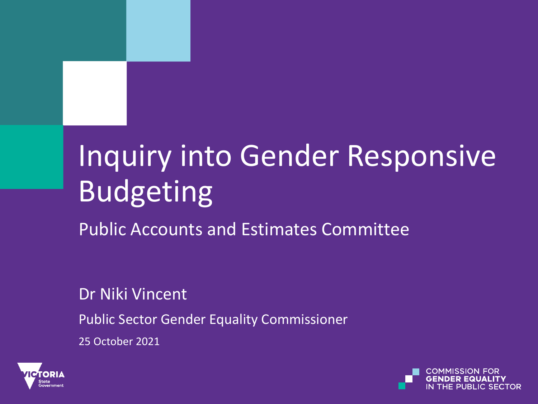# Inquiry into Gender Responsive Budgeting

Public Accounts and Estimates Committee

Dr Niki Vincent

Public Sector Gender Equality Commissioner

25 October 2021



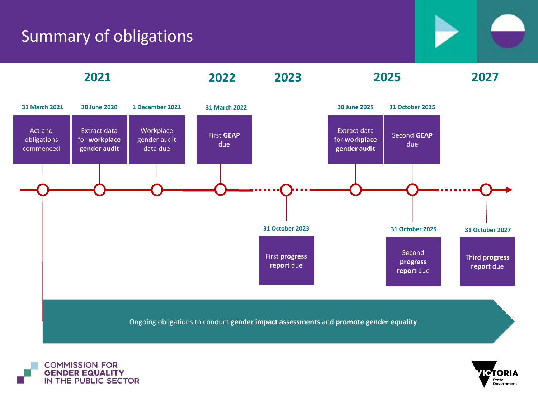### Summary of obligations





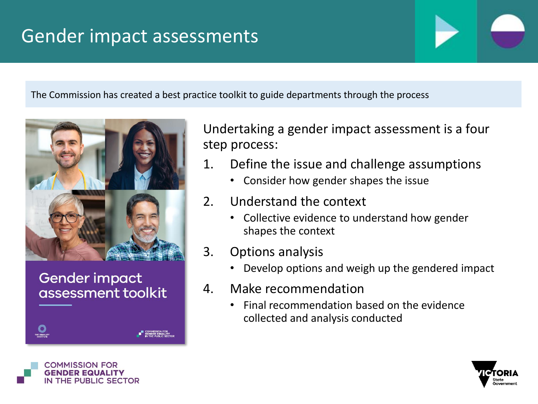## Gender impact assessments

The Commission has created a best practice toolkit to guide departments through the process



#### **Gender impact** assessment toolkit

Undertaking a gender impact assessment is a four step process:

- 1. Define the issue and challenge assumptions
	- Consider how gender shapes the issue
- 2. Understand the context
	- Collective evidence to understand how gender shapes the context
- 3. Options analysis
	- Develop options and weigh up the gendered impact
- 4. Make recommendation
	- Final recommendation based on the evidence collected and analysis conducted



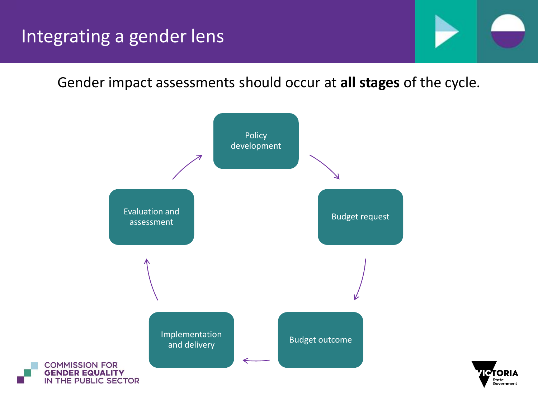Gender impact assessments should occur at **all stages** of the cycle.



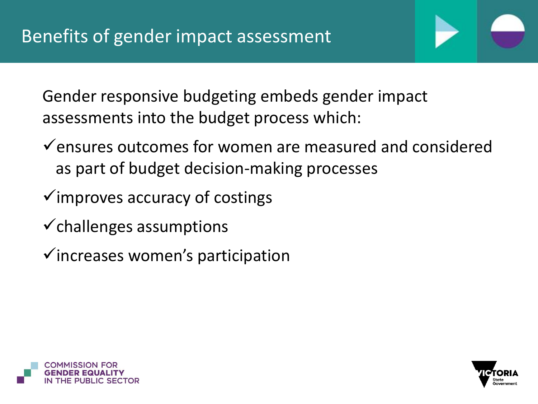Gender responsive budgeting embeds gender impact assessments into the budget process which:

- $\checkmark$  ensures outcomes for women are measured and considered as part of budget decision-making processes
- $\checkmark$  improves accuracy of costings
- $\checkmark$  challenges assumptions
- ✓increases women's participation



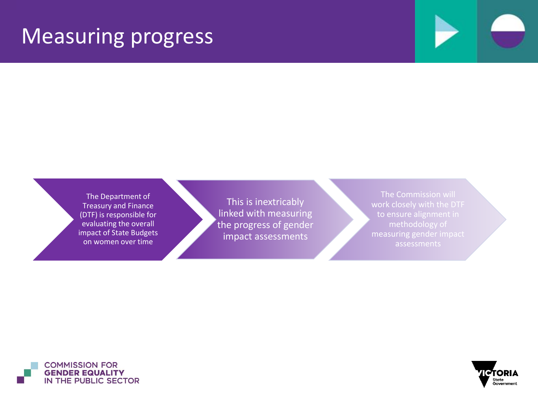## Measuring progress

The Department of Treasury and Finance (DTF) is responsible for evaluating the overall impact of State Budgets on women over time

This is inextricably linked with measuring the progress of gender impact assessments

The Commission will measuring gender impact assessments